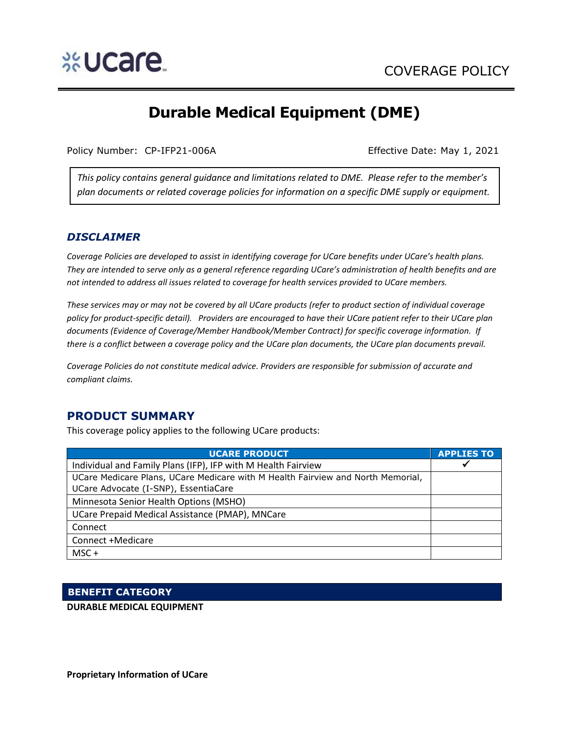

# **Durable Medical Equipment (DME)**

Policy Number: CP-IFP21-006A Effective Date: May 1, 2021

*This policy contains general guidance and limitations related to DME. Please refer to the member's plan documents or related coverage policies for information on a specific DME supply or equipment.*

## *DISCLAIMER*

*Coverage Policies are developed to assist in identifying coverage for UCare benefits under UCare's health plans. They are intended to serve only as a general reference regarding UCare's administration of health benefits and are not intended to address all issues related to coverage for health services provided to UCare members.*

*These services may or may not be covered by all UCare products (refer to product section of individual coverage policy for product-specific detail). Providers are encouraged to have their UCare patient refer to their UCare plan documents (Evidence of Coverage/Member Handbook/Member Contract) for specific coverage information. If there is a conflict between a coverage policy and the UCare plan documents, the UCare plan documents prevail.*

*Coverage Policies do not constitute medical advice. Providers are responsible for submission of accurate and compliant claims.* 

# **PRODUCT SUMMARY**

This coverage policy applies to the following UCare products:

| <b>UCARE PRODUCT</b>                                                            | <b>APPLIES TO</b> |
|---------------------------------------------------------------------------------|-------------------|
| Individual and Family Plans (IFP), IFP with M Health Fairview                   |                   |
| UCare Medicare Plans, UCare Medicare with M Health Fairview and North Memorial, |                   |
| UCare Advocate (I-SNP), EssentiaCare                                            |                   |
| Minnesota Senior Health Options (MSHO)                                          |                   |
| UCare Prepaid Medical Assistance (PMAP), MNCare                                 |                   |
| Connect                                                                         |                   |
| Connect +Medicare                                                               |                   |
| $MSC +$                                                                         |                   |

## **BENEFIT CATEGORY**

**DURABLE MEDICAL EQUIPMENT**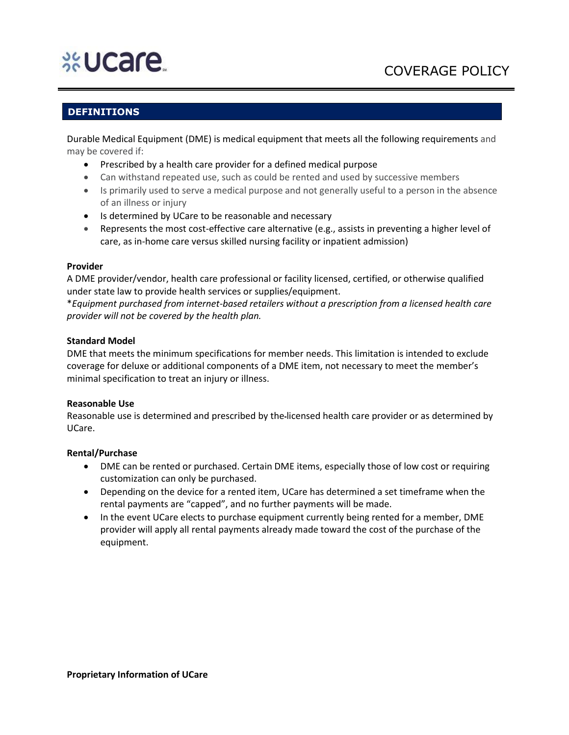# **%Ucare**

# COVERAGE POLICY

# **DEFINITIONS**

Durable Medical Equipment (DME) is medical equipment that meets all the following requirements and may be covered if:

- Prescribed by a health care provider for a defined medical purpose
- Can withstand repeated use, such as could be rented and used by successive members
- Is primarily used to serve a medical purpose and not generally useful to a person in the absence of an illness or injury
- Is determined by UCare to be reasonable and necessary
- Represents the most cost-effective care alternative (e.g., assists in preventing a higher level of care, as in-home care versus skilled nursing facility or inpatient admission)

#### **Provider**

A DME provider/vendor, health care professional or facility licensed, certified, or otherwise qualified under state law to provide health services or supplies/equipment.

\**Equipment purchased from internet-based retailers without a prescription from a licensed health care provider will not be covered by the health plan.*

#### **Standard Model**

DME that meets the minimum specifications for member needs. This limitation is intended to exclude coverage for deluxe or additional components of a DME item, not necessary to meet the member's minimal specification to treat an injury or illness.

#### **Reasonable Use**

Reasonable use is determined and prescribed by the licensed health care provider or as determined by UCare.

#### **Rental/Purchase**

- DME can be rented or purchased. Certain DME items, especially those of low cost or requiring customization can only be purchased.
- Depending on the device for a rented item, UCare has determined a set timeframe when the rental payments are "capped", and no further payments will be made.
- In the event UCare elects to purchase equipment currently being rented for a member, DME provider will apply all rental payments already made toward the cost of the purchase of the equipment.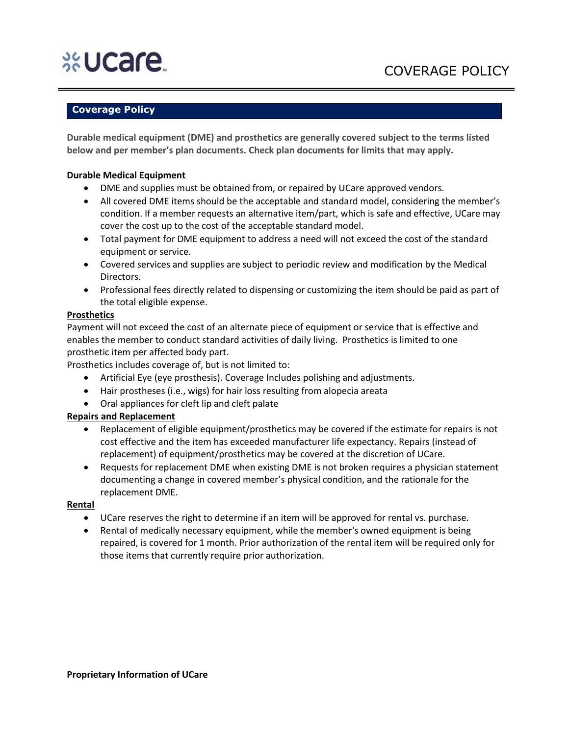# **%Ucare**

# **Coverage Policy**

**Durable medical equipment (DME) and prosthetics are generally covered subject to the terms listed below and per member's plan documents. Check plan documents for limits that may apply.**

#### **Durable Medical Equipment**

- DME and supplies must be obtained from, or repaired by UCare approved vendors.
- All covered DME items should be the acceptable and standard model, considering the member's condition. If a member requests an alternative item/part, which is safe and effective, UCare may cover the cost up to the cost of the acceptable standard model.
- Total payment for DME equipment to address a need will not exceed the cost of the standard equipment or service.
- Covered services and supplies are subject to periodic review and modification by the Medical Directors.
- Professional fees directly related to dispensing or customizing the item should be paid as part of the total eligible expense.

#### **Prosthetics**

Payment will not exceed the cost of an alternate piece of equipment or service that is effective and enables the member to conduct standard activities of daily living. Prosthetics is limited to one prosthetic item per affected body part.

Prosthetics includes coverage of, but is not limited to:

- Artificial Eye (eye prosthesis). Coverage Includes polishing and adjustments.
- Hair prostheses (i.e., wigs) for hair loss resulting from alopecia areata
- Oral appliances for cleft lip and cleft palate

## **Repairs and Replacement**

- Replacement of eligible equipment/prosthetics may be covered if the estimate for repairs is not cost effective and the item has exceeded manufacturer life expectancy. Repairs (instead of replacement) of equipment/prosthetics may be covered at the discretion of UCare.
- Requests for replacement DME when existing DME is not broken requires a physician statement documenting a change in covered member's physical condition, and the rationale for the replacement DME.

#### **Rental**

- UCare reserves the right to determine if an item will be approved for rental vs. purchase.
- Rental of medically necessary equipment, while the member's owned equipment is being repaired, is covered for 1 month. Prior authorization of the rental item will be required only for those items that currently require prior authorization.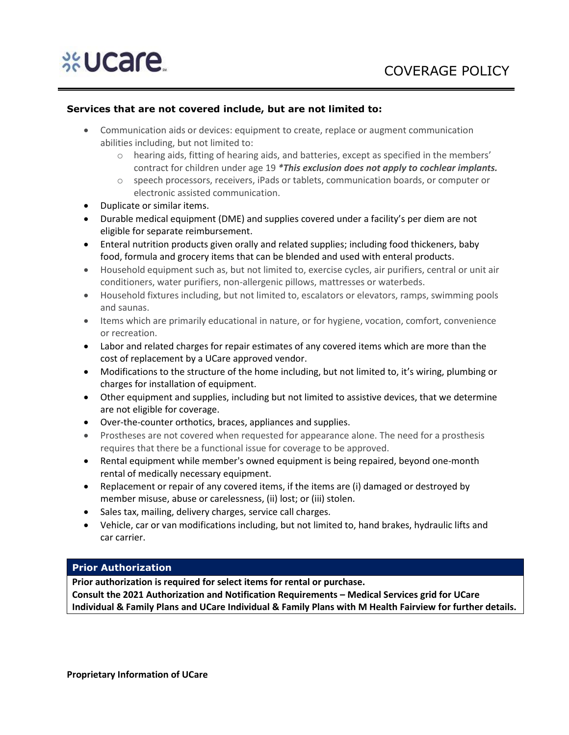#### **Services that are not covered include, but are not limited to:**

- Communication aids or devices: equipment to create, replace or augment communication abilities including, but not limited to:
	- o hearing aids, fitting of hearing aids, and batteries, except as specified in the members' contract for children under age 19 *\*This exclusion does not apply to cochlear implants.*
	- o speech processors, receivers, iPads or tablets, communication boards, or computer or electronic assisted communication.
- Duplicate or similar items.
- Durable medical equipment (DME) and supplies covered under a facility's per diem are not eligible for separate reimbursement.
- Enteral nutrition products given orally and related supplies; including food thickeners, baby food, formula and grocery items that can be blended and used with enteral products.
- Household equipment such as, but not limited to, exercise cycles, air purifiers, central or unit air conditioners, water purifiers, non-allergenic pillows, mattresses or waterbeds.
- Household fixtures including, but not limited to, escalators or elevators, ramps, swimming pools and saunas.
- Items which are primarily educational in nature, or for hygiene, vocation, comfort, convenience or recreation.
- Labor and related charges for repair estimates of any covered items which are more than the cost of replacement by a UCare approved vendor.
- Modifications to the structure of the home including, but not limited to, it's wiring, plumbing or charges for installation of equipment.
- Other equipment and supplies, including but not limited to assistive devices, that we determine are not eligible for coverage.
- Over-the-counter orthotics, braces, appliances and supplies.
- Prostheses are not covered when requested for appearance alone. The need for a prosthesis requires that there be a functional issue for coverage to be approved.
- Rental equipment while member's owned equipment is being repaired, beyond one-month rental of medically necessary equipment.
- Replacement or repair of any covered items, if the items are (i) damaged or destroyed by member misuse, abuse or carelessness, (ii) lost; or (iii) stolen.
- Sales tax, mailing, delivery charges, service call charges.
- Vehicle, car or van modifications including, but not limited to, hand brakes, hydraulic lifts and car carrier.

#### **Prior Authorization**

**Prior authorization is required for select items for rental or purchase.** 

**Consult the 2021 Authorization and Notification Requirements – Medical Services grid for UCare Individual & Family Plans and UCare Individual & Family Plans with M Health Fairview for further details.**